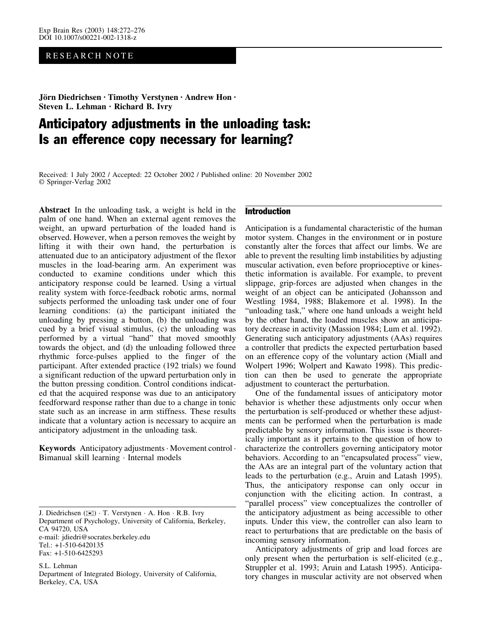# RESEARCH NOTE

Jörn Diedrichsen · Timothy Verstynen · Andrew Hon · Steven L. Lehman · Richard B. Ivry

# Anticipatory adjustments in the unloading task: Is an efference copy necessary for learning?

Received: 1 July 2002 / Accepted: 22 October 2002 / Published online: 20 November 2002 Springer-Verlag 2002

Abstract In the unloading task, a weight is held in the palm of one hand. When an external agent removes the weight, an upward perturbation of the loaded hand is observed. However, when a person removes the weight by lifting it with their own hand, the perturbation is attenuated due to an anticipatory adjustment of the flexor muscles in the load-bearing arm. An experiment was conducted to examine conditions under which this anticipatory response could be learned. Using a virtual reality system with force-feedback robotic arms, normal subjects performed the unloading task under one of four learning conditions: (a) the participant initiated the unloading by pressing a button, (b) the unloading was cued by a brief visual stimulus, (c) the unloading was performed by a virtual "hand" that moved smoothly towards the object, and (d) the unloading followed three rhythmic force-pulses applied to the finger of the participant. After extended practice (192 trials) we found a significant reduction of the upward perturbation only in the button pressing condition. Control conditions indicated that the acquired response was due to an anticipatory feedforward response rather than due to a change in tonic state such as an increase in arm stiffness. These results indicate that a voluntary action is necessary to acquire an anticipatory adjustment in the unloading task.

Keywords Anticipatory adjustments · Movement control · Bimanual skill learning · Internal models

S.L. Lehman Department of Integrated Biology, University of California, Berkeley, CA, USA

## Introduction

Anticipation is a fundamental characteristic of the human motor system. Changes in the environment or in posture constantly alter the forces that affect our limbs. We are able to prevent the resulting limb instabilities by adjusting muscular activation, even before proprioceptive or kinesthetic information is available. For example, to prevent slippage, grip-forces are adjusted when changes in the weight of an object can be anticipated (Johansson and Westling 1984, 1988; Blakemore et al. 1998). In the "unloading task," where one hand unloads a weight held by the other hand, the loaded muscles show an anticipatory decrease in activity (Massion 1984; Lum et al. 1992). Generating such anticipatory adjustments (AAs) requires a controller that predicts the expected perturbation based on an efference copy of the voluntary action (Miall and Wolpert 1996; Wolpert and Kawato 1998). This prediction can then be used to generate the appropriate adjustment to counteract the perturbation.

One of the fundamental issues of anticipatory motor behavior is whether these adjustments only occur when the perturbation is self-produced or whether these adjustments can be performed when the perturbation is made predictable by sensory information. This issue is theoretically important as it pertains to the question of how to characterize the controllers governing anticipatory motor behaviors. According to an "encapsulated process" view, the AAs are an integral part of the voluntary action that leads to the perturbation (e.g., Aruin and Latash 1995). Thus, the anticipatory response can only occur in conjunction with the eliciting action. In contrast, a "parallel process" view conceptualizes the controller of the anticipatory adjustment as being accessible to other inputs. Under this view, the controller can also learn to react to perturbations that are predictable on the basis of incoming sensory information.

Anticipatory adjustments of grip and load forces are only present when the perturbation is self-elicited (e.g., Struppler et al. 1993; Aruin and Latash 1995). Anticipatory changes in muscular activity are not observed when

J. Diedrichsen ( $\boxtimes$ ) · T. Verstynen · A. Hon · R.B. Ivry Department of Psychology, University of California, Berkeley, CA 94720, USA e-mail: jdiedri@socrates.berkeley.edu Tel.: +1-510-6420135 Fax: +1-510-6425293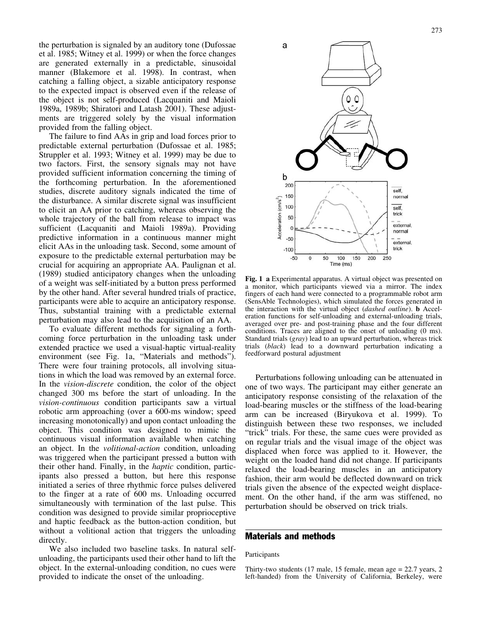the perturbation is signaled by an auditory tone (Dufossae et al. 1985; Witney et al. 1999) or when the force changes are generated externally in a predictable, sinusoidal manner (Blakemore et al. 1998). In contrast, when catching a falling object, a sizable anticipatory response to the expected impact is observed even if the release of the object is not self-produced (Lacquaniti and Maioli 1989a, 1989b; Shiratori and Latash 2001). These adjustments are triggered solely by the visual information provided from the falling object.

The failure to find AAs in grip and load forces prior to predictable external perturbation (Dufossae et al. 1985; Struppler et al. 1993; Witney et al. 1999) may be due to two factors. First, the sensory signals may not have provided sufficient information concerning the timing of the forthcoming perturbation. In the aforementioned studies, discrete auditory signals indicated the time of the disturbance. A similar discrete signal was insufficient to elicit an AA prior to catching, whereas observing the whole trajectory of the ball from release to impact was sufficient (Lacquaniti and Maioli 1989a). Providing predictive information in a continuous manner might elicit AAs in the unloading task. Second, some amount of exposure to the predictable external perturbation may be crucial for acquiring an appropriate AA. Paulignan et al. (1989) studied anticipatory changes when the unloading of a weight was self-initiated by a button press performed by the other hand. After several hundred trials of practice, participants were able to acquire an anticipatory response. Thus, substantial training with a predictable external perturbation may also lead to the acquisition of an AA.

To evaluate different methods for signaling a forthcoming force perturbation in the unloading task under extended practice we used a visual-haptic virtual-reality environment (see Fig. 1a, "Materials and methods"). There were four training protocols, all involving situations in which the load was removed by an external force. In the vision-discrete condition, the color of the object changed 300 ms before the start of unloading. In the vision-continuous condition participants saw a virtual robotic arm approaching (over a 600-ms window; speed increasing monotonically) and upon contact unloading the object. This condition was designed to mimic the continuous visual information available when catching an object. In the volitional-action condition, unloading was triggered when the participant pressed a button with their other hand. Finally, in the haptic condition, participants also pressed a button, but here this response initiated a series of three rhythmic force pulses delivered to the finger at a rate of 600 ms. Unloading occurred simultaneously with termination of the last pulse. This condition was designed to provide similar proprioceptive and haptic feedback as the button-action condition, but without a volitional action that triggers the unloading directly.

We also included two baseline tasks. In natural selfunloading, the participants used their other hand to lift the object. In the external-unloading condition, no cues were provided to indicate the onset of the unloading.



Fig. 1 a Experimental apparatus. A virtual object was presented on a monitor, which participants viewed via a mirror. The index fingers of each hand were connected to a programmable robot arm (SensAble Technologies), which simulated the forces generated in the interaction with the virtual object (dashed outline). b Acceleration functions for self-unloading and external-unloading trials, averaged over pre- and post-training phase and the four different conditions. Traces are aligned to the onset of unloading (0 ms). Standard trials (gray) lead to an upward perturbation, whereas trick trials (black) lead to a downward perturbation indicating a feedforward postural adjustment

Perturbations following unloading can be attenuated in one of two ways. The participant may either generate an anticipatory response consisting of the relaxation of the load-bearing muscles or the stiffness of the load-bearing arm can be increased (Biryukova et al. 1999). To distinguish between these two responses, we included "trick" trials. For these, the same cues were provided as on regular trials and the visual image of the object was displaced when force was applied to it. However, the weight on the loaded hand did not change. If participants relaxed the load-bearing muscles in an anticipatory fashion, their arm would be deflected downward on trick trials given the absence of the expected weight displacement. On the other hand, if the arm was stiffened, no perturbation should be observed on trick trials.

# Materials and methods

#### Participants

Thirty-two students (17 male, 15 female, mean age = 22.7 years, 2 left-handed) from the University of California, Berkeley, were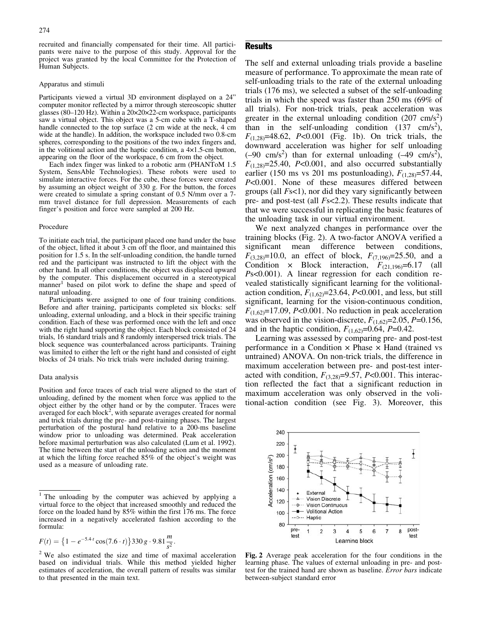recruited and financially compensated for their time. All participants were naive to the purpose of this study. Approval for the project was granted by the local Committee for the Protection of Human Subjects.

#### Apparatus and stimuli

Participants viewed a virtual 3D environment displayed on a 24" computer monitor reflected by a mirror through stereoscopic shutter glasses (80–120 Hz). Within a 20×20×22-cm workspace, participants saw a virtual object. This object was a 5-cm cube with a T-shaped handle connected to the top surface (2 cm wide at the neck, 4 cm wide at the handle). In addition, the workspace included two 0.8-cm spheres, corresponding to the positions of the two index fingers and, in the volitional action and the haptic condition, a  $4\times1.5$ -cm button, appearing on the floor of the workspace, 6 cm from the object.

Each index finger was linked to a robotic arm (PHANToM 1.5 System, SensAble Technologies). These robots were used to simulate interactive forces. For the cube, these forces were created by assuming an object weight of 330 g. For the button, the forces were created to simulate a spring constant of 0.5 N/mm over a 7 mm travel distance for full depression. Measurements of each finger's position and force were sampled at 200 Hz.

#### Procedure

To initiate each trial, the participant placed one hand under the base of the object, lifted it about 3 cm off the floor, and maintained this position for 1.5 s. In the self-unloading condition, the handle turned red and the participant was instructed to lift the object with the other hand. In all other conditions, the object was displaced upward by the computer. This displacement occurred in a stereotypical manner<sup>1</sup> based on pilot work to define the shape and speed of natural unloading.

Participants were assigned to one of four training conditions. Before and after training, participants completed six blocks: self unloading, external unloading, and a block in their specific training condition. Each of these was performed once with the left and once with the right hand supporting the object. Each block consisted of 24 trials, 16 standard trials and 8 randomly interspersed trick trials. The block sequence was counterbalanced across participants. Training was limited to either the left or the right hand and consisted of eight blocks of 24 trials. No trick trials were included during training.

#### Data analysis

Position and force traces of each trial were aligned to the start of unloading, defined by the moment when force was applied to the object either by the other hand or by the computer. Traces were averaged for each block<sup>2</sup>, with separate averages created for normal and trick trials during the pre- and post-training phases. The largest perturbation of the postural hand relative to a 200-ms baseline window prior to unloading was determined. Peak acceleration before maximal perturbation was also calculated (Lum et al. 1992). The time between the start of the unloading action and the moment at which the lifting force reached 85% of the object's weight was used as a measure of unloading rate.

$$
F(t) = \left\{1 - e^{-5.4 \cdot t} \cos(7.6 \cdot t)\right\} 330 g \cdot 9.81 \frac{m}{s^2}
$$

<sup>2</sup> We also estimated the size and time of maximal acceleration based on individual trials. While this method yielded higher estimates of acceleration, the overall pattern of results was similar to that presented in the main text.

## **Results**

The self and external unloading trials provide a baseline measure of performance. To approximate the mean rate of self-unloading trials to the rate of the external unloading trials (176 ms), we selected a subset of the self-unloading trials in which the speed was faster than 250 ms (69% of all trials). For non-trick trials, peak acceleration was greater in the external unloading condition  $(207 \text{ cm/s}^2)$ than in the self-unloading condition  $(137 \text{ cm/s}^2)$ ,  $F_{(1,28)}$ =48.62, P<0.001 (Fig. 1b). On trick trials, the downward acceleration was higher for self unloading  $(-90 \text{ cm/s}^2)$  than for external unloading  $(-49 \text{ cm/s}^2)$ ,  $F_{(1,28)}$ =25.40, P<0.001, and also occurred substantially earlier (150 ms vs 201 ms postunloading),  $F_{(1,28)} = 57.44$ , P<0.001. None of these measures differed between groups (all  $Fs<1$ ), nor did they vary significantly between pre- and post-test (all Fs<2.2). These results indicate that that we were successful in replicating the basic features of the unloading task in our virtual environment.

We next analyzed changes in performance over the training blocks (Fig. 2). A two-factor ANOVA verified a significant mean difference between conditions,  $F_{(3,28)}$ =10.0, an effect of block,  $F_{(7,196)}$ =25.50, and a Condition  $\times$  Block interaction,  $F_{(21,196)}=6.17$  (all  $Ps<0.001$ ). A linear regression for each condition revealed statistically significant learning for the volitionalaction condition,  $F_{(1,62)}=23.64$ ,  $P<0.001$ , and less, but still significant, learning for the vision-continuous condition,  $F_{(1,62)}$ =17.09, P<0.001. No reduction in peak acceleration was observed in the vision-discrete,  $F_{(1,62)}=2.05$ ,  $P=0.156$ , and in the haptic condition,  $F_{(1,62)} = 0.64$ ,  $P = 0.42$ .

Learning was assessed by comparing pre- and post-test performance in a Condition  $\times$  Phase  $\times$  Hand (trained vs untrained) ANOVA. On non-trick trials, the difference in maximum acceleration between pre- and post-test interacted with condition,  $F_{(3,28)}=9.57$ , P<0.001. This interaction reflected the fact that a significant reduction in maximum acceleration was only observed in the volitional-action condition (see Fig. 3). Moreover, this



Fig. 2 Average peak acceleration for the four conditions in the learning phase. The values of external unloading in pre- and posttest for the trained hand are shown as baseline. Error bars indicate between-subject standard error

<sup>&</sup>lt;sup>1</sup> The unloading by the computer was achieved by applying a virtual force to the object that increased smoothly and reduced the force on the loaded hand by 85% within the first 176 ms. The force increased in a negatively accelerated fashion according to the formula: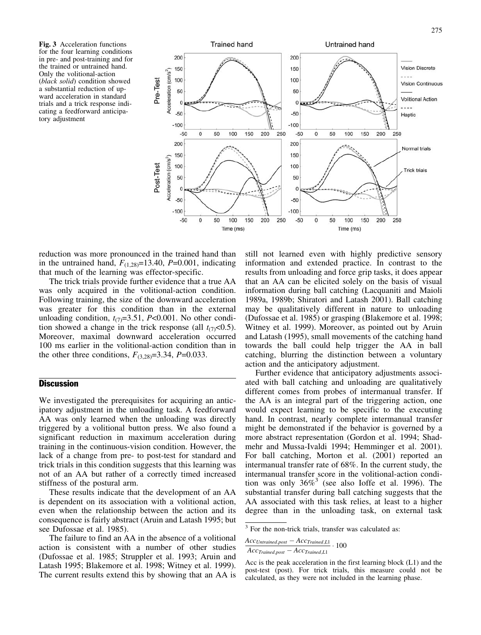Fig. 3 Acceleration functions for the four learning conditions in pre- and post-training and for the trained or untrained hand. Only the volitional-action (black solid) condition showed a substantial reduction of upward acceleration in standard trials and a trick response indicating a feedforward anticipatory adjustment



reduction was more pronounced in the trained hand than in the untrained hand,  $F_{(1,28)}$ =13.40, P=0.001, indicating that much of the learning was effector-specific.

The trick trials provide further evidence that a true AA was only acquired in the volitional-action condition. Following training, the size of the downward acceleration was greater for this condition than in the external unloading condition,  $t_{(7)}=3.51$ , P<0.001. No other condition showed a change in the trick response (all  $t_{(7)}$ <0.5). Moreover, maximal downward acceleration occurred 100 ms earlier in the volitional-action condition than in the other three conditions,  $F_{(3,28)} = 3.34$ ,  $P = 0.033$ .

# **Discussion**

We investigated the prerequisites for acquiring an anticipatory adjustment in the unloading task. A feedforward AA was only learned when the unloading was directly triggered by a volitional button press. We also found a significant reduction in maximum acceleration during training in the continuous-vision condition. However, the lack of a change from pre- to post-test for standard and trick trials in this condition suggests that this learning was not of an AA but rather of a correctly timed increased stiffness of the postural arm.

These results indicate that the development of an AA is dependent on its association with a volitional action, even when the relationship between the action and its consequence is fairly abstract (Aruin and Latash 1995; but see Dufossae et al. 1985).

The failure to find an AA in the absence of a volitional action is consistent with a number of other studies (Dufossae et al. 1985; Struppler et al. 1993; Aruin and Latash 1995; Blakemore et al. 1998; Witney et al. 1999). The current results extend this by showing that an AA is still not learned even with highly predictive sensory information and extended practice. In contrast to the results from unloading and force grip tasks, it does appear that an AA can be elicited solely on the basis of visual information during ball catching (Lacquaniti and Maioli 1989a, 1989b; Shiratori and Latash 2001). Ball catching may be qualitatively different in nature to unloading (Dufossae et al. 1985) or grasping (Blakemore et al. 1998; Witney et al. 1999). Moreover, as pointed out by Aruin and Latash (1995), small movements of the catching hand towards the ball could help trigger the AA in ball catching, blurring the distinction between a voluntary action and the anticipatory adjustment.

Further evidence that anticipatory adjustments associated with ball catching and unloading are qualitatively different comes from probes of intermanual transfer. If the AA is an integral part of the triggering action, one would expect learning to be specific to the executing hand. In contrast, nearly complete intermanual transfer might be demonstrated if the behavior is governed by a more abstract representation (Gordon et al. 1994; Shadmehr and Mussa-Ivaldi 1994; Hemminger et al. 2001). For ball catching, Morton et al. (2001) reported an intermanual transfer rate of 68%. In the current study, the intermanual transfer score in the volitional-action condition was only  $36\%$ <sup>3</sup> (see also Ioffe et al. 1996). The substantial transfer during ball catching suggests that the AA associated with this task relies, at least to a higher degree than in the unloading task, on external task

<sup>3</sup> For the non-trick trials, transfer was calculated as:

 $\frac{Acc_{Untrained,post} - Acc_{Triangle, L1}}{4} \cdot 100$ 

 $Acc_{Triangle,post} - Acc_{Triangle,LI}$ 

Acc is the peak acceleration in the first learning block (L1) and the post-test (post). For trick trials, this measure could not be calculated, as they were not included in the learning phase.